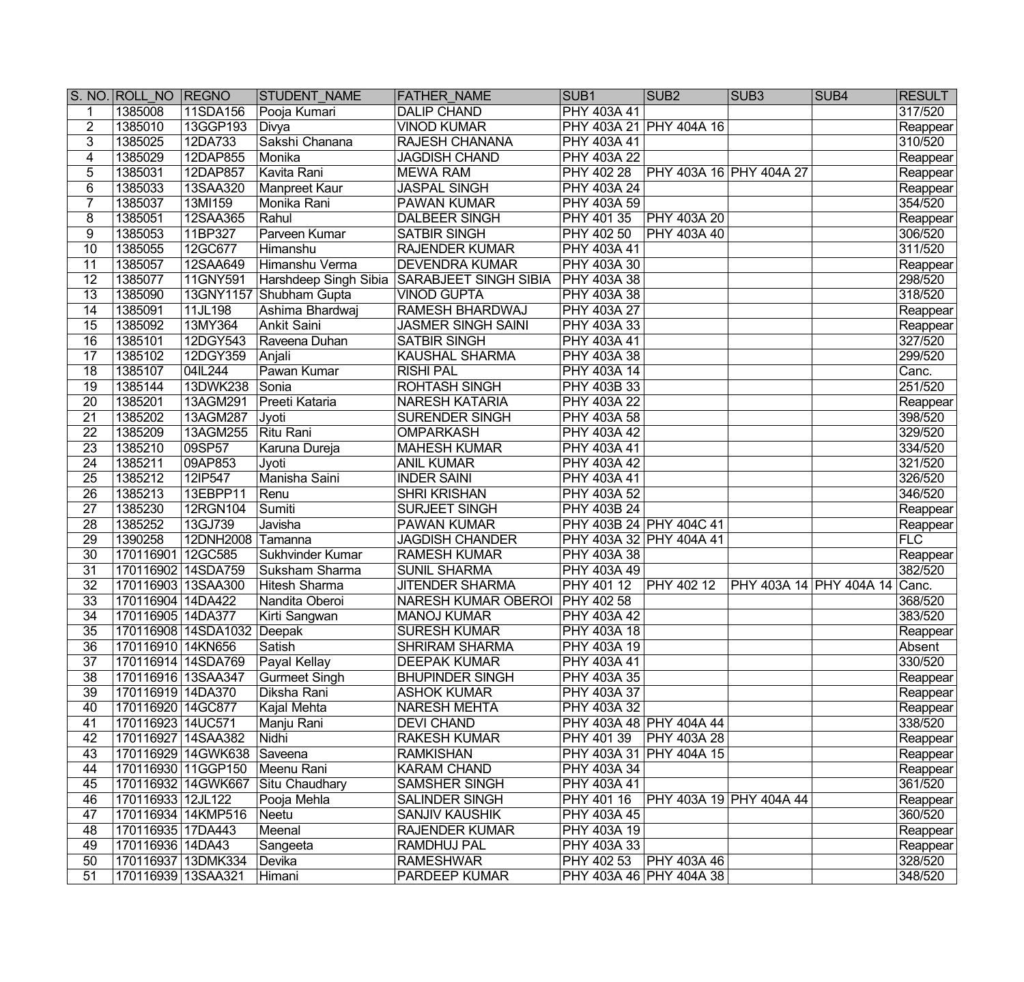|                                    | S. NO. ROLL NO REGNO                   |                                                 | <b>STUDENT NAME</b>                  | <b>FATHER NAME</b>                        | SUB <sub>1</sub>                         | SUB <sub>2</sub>          | SUB <sub>3</sub>        | SUB4 | <b>RESULT</b>        |
|------------------------------------|----------------------------------------|-------------------------------------------------|--------------------------------------|-------------------------------------------|------------------------------------------|---------------------------|-------------------------|------|----------------------|
| $\mathbf{1}$                       | 1385008                                | 11SDA156                                        | Pooja Kumari                         | <b>DALIP CHAND</b>                        | <b>PHY 403A 41</b>                       |                           |                         |      | 317/520              |
| $\overline{2}$                     | 1385010                                | 13GGP193                                        | Divya                                | <b>VINOD KUMAR</b>                        |                                          | PHY 403A 21 PHY 404A 16   |                         |      | Reappear             |
| $\overline{3}$                     | 1385025                                | 12DA733                                         | Sakshi Chanana                       | RAJESH CHANANA                            | PHY 403A 41                              |                           |                         |      | 310/520              |
| $\overline{4}$                     | 1385029                                | 12DAP855                                        | Monika                               | <b>JAGDISH CHAND</b>                      | <b>PHY 403A 22</b>                       |                           |                         |      | Reappear             |
| $\overline{5}$                     | 1385031                                | 12DAP857                                        | Kavita Rani                          | <b>MEWA RAM</b>                           | <b>PHY 402 28</b>                        | PHY 403A 16   PHY 404A 27 |                         |      | Reappear             |
| $\overline{6}$                     | 1385033                                | 13SAA320                                        | Manpreet Kaur                        | <b>JASPAL SINGH</b>                       | <b>PHY 403A 24</b>                       |                           |                         |      | Reappear             |
| $\overline{7}$                     | 1385037                                | 13MI159                                         | Monika Rani                          | <b>PAWAN KUMAR</b>                        | <b>PHY 403A 59</b>                       |                           |                         |      | 354/520              |
| 8                                  | 1385051                                | 12SAA365                                        | Rahul                                | DALBEER SINGH                             | PHY 401 35                               | <b>PHY 403A 20</b>        |                         |      | Reappear             |
| $\overline{9}$                     | 1385053                                | 11BP327                                         | Parveen Kumar                        | <b>SATBIR SINGH</b>                       | <b>PHY 402 50</b>                        | <b>PHY 403A 40</b>        |                         |      | 306/520              |
| 10                                 | 1385055                                | 12GC677                                         | Himanshu                             | <b>RAJENDER KUMAR</b>                     | <b>PHY 403A 41</b>                       |                           |                         |      | 311/520              |
| 11                                 | 1385057                                | 12SAA649                                        | Himanshu Verma                       | <b>DEVENDRA KUMAR</b>                     | <b>PHY 403A 30</b>                       |                           |                         |      | Reappear             |
| $\overline{12}$                    | 1385077                                | 11GNY591                                        | Harshdeep Singh Sibia                | <b>SARABJEET SINGH SIBIA</b>              | <b>PHY 403A 38</b>                       |                           |                         |      | 298/520              |
| $\overline{13}$                    | 1385090                                |                                                 | 13GNY1157 Shubham Gupta              | <b>VINOD GUPTA</b>                        | <b>PHY 403A 38</b>                       |                           |                         |      | 318/520              |
| 14                                 | 1385091                                | 11JL198                                         | Ashima Bhardwaj                      | RAMESH BHARDWAJ                           | <b>PHY 403A 27</b>                       |                           |                         |      | Reappear             |
| $\overline{15}$                    | 1385092                                | 13MY364                                         | <b>Ankit Saini</b>                   | <b>JASMER SINGH SAINI</b>                 | <b>PHY 403A 33</b>                       |                           |                         |      | Reappear             |
| 16                                 | 1385101                                | 12DGY543                                        | Raveena Duhan                        | <b>SATBIR SINGH</b>                       | <b>PHY 403A 41</b>                       |                           |                         |      | 327/520              |
| 17                                 | 1385102                                | 12DGY359                                        | Anjali                               | <b>KAUSHAL SHARMA</b>                     | <b>PHY 403A 38</b>                       |                           |                         |      | 299/520              |
| 18                                 | 1385107                                | 04IL244                                         | Pawan Kumar                          | <b>RISHI PAL</b>                          | <b>PHY 403A 14</b>                       |                           |                         |      | Canc.                |
| 19                                 | 1385144                                | 13DWK238                                        | Sonia                                | <b>ROHTASH SINGH</b>                      | PHY 403B 33                              |                           |                         |      | 251/520              |
| 20                                 | 1385201                                | 13AGM291                                        | Preeti Kataria                       | <b>NARESH KATARIA</b>                     | <b>PHY 403A 22</b>                       |                           |                         |      | Reappear             |
| $\overline{21}$                    | 1385202                                | 13AGM287                                        | Jyoti                                | <b>SURENDER SINGH</b>                     | <b>PHY 403A 58</b>                       |                           |                         |      | 398/520              |
| 22                                 | 1385209                                | 13AGM255                                        | Ritu Rani                            | <b>OMPARKASH</b>                          | PHY 403A 42                              |                           |                         |      | 329/520              |
| $\overline{23}$                    | 1385210                                | 09SP57                                          | Karuna Dureja                        | <b>MAHESH KUMAR</b>                       | PHY 403A 41                              |                           |                         |      | 334/520              |
| $\overline{24}$                    | 1385211                                | 09AP853                                         | Jyoti                                | <b>ANIL KUMAR</b>                         | PHY 403A 42                              |                           |                         |      | 321/520              |
| $\overline{25}$                    | 1385212                                | 12IP547                                         | Manisha Saini                        | <b>INDER SAINI</b>                        | PHY 403A 41                              |                           |                         |      | 326/520              |
| 26                                 | 1385213                                | 13EBPP11                                        | Renu                                 | <b>SHRI KRISHAN</b>                       | PHY 403A 52                              |                           |                         |      | 346/520              |
| $\overline{27}$                    | 1385230                                | 12RGN104                                        | <b>Sumiti</b>                        | <b>SURJEET SINGH</b>                      | <b>PHY 403B 24</b>                       |                           |                         |      | Reappear             |
| 28                                 | 1385252                                | 13GJ739                                         | Javisha                              | PAWAN KUMAR                               | PHY 403B 24 PHY 404C 41                  |                           |                         |      | Reappear             |
| $\overline{29}$                    | 1390258                                | 12DNH2008                                       | Tamanna                              | <b>JAGDISH CHANDER</b>                    | PHY 403A 32 PHY 404A 41                  |                           |                         |      | FLC                  |
| $\overline{30}$                    | 170116901 12GC585                      |                                                 | Sukhvinder Kumar                     | <b>RAMESH KUMAR</b>                       | <b>PHY 403A 38</b>                       |                           |                         |      | Reappear             |
| $\overline{31}$                    | 170116902 14SDA759                     |                                                 | Suksham Sharma                       | <b>SUNIL SHARMA</b>                       | <b>PHY 403A 49</b>                       |                           |                         |      | 382/520              |
| $\overline{32}$                    | 170116903 13SAA300                     |                                                 | <b>Hitesh Sharma</b>                 | <b>JITENDER SHARMA</b>                    | PHY 401 12                               | <b>PHY 402 12</b>         | PHY 403A 14 PHY 404A 14 |      | Canc.                |
| $\overline{33}$<br>$\overline{34}$ | 170116904 14DA422<br>170116905 14DA377 |                                                 | Nandita Oberoi                       | NARESH KUMAR OBEROI PHY 402 58            |                                          |                           |                         |      | 368/520<br>383/520   |
| $\overline{35}$                    |                                        |                                                 | Kirti Sangwan                        | <b>MANOJ KUMAR</b><br><b>SURESH KUMAR</b> | <b>PHY 403A 42</b><br><b>PHY 403A 18</b> |                           |                         |      |                      |
| $\overline{36}$                    |                                        | 170116908 14SDA1032 Deepak<br>170116910 14KN656 | Satish                               | <b>SHRIRAM SHARMA</b>                     | <b>PHY 403A 19</b>                       |                           |                         |      | Reappear             |
| $\overline{37}$                    | 170116914 14SDA769                     |                                                 |                                      | <b>DEEPAK KUMAR</b>                       | PHY 403A 41                              |                           |                         |      | Absent<br>330/520    |
| 38                                 | 170116916 13SAA347                     |                                                 | Payal Kellay<br><b>Gurmeet Singh</b> | <b>BHUPINDER SINGH</b>                    | PHY 403A 35                              |                           |                         |      |                      |
| 39                                 | 170116919 14DA370                      |                                                 | Diksha Rani                          | <b>ASHOK KUMAR</b>                        | PHY 403A 37                              |                           |                         |      | Reappear             |
| 40                                 | 170116920 14GC877                      |                                                 | Kajal Mehta                          | <b>NARESH MEHTA</b>                       | PHY 403A 32                              |                           |                         |      | Reappear<br>Reappear |
| 41                                 | 170116923 14UC571                      |                                                 | Manju Rani                           | <b>DEVI CHAND</b>                         |                                          | PHY 403A 48 PHY 404A 44   |                         |      | 338/520              |
| 42                                 | 170116927 14SAA382                     |                                                 | Nidhi                                | <b>RAKESH KUMAR</b>                       | PHY 401 39                               | <b>PHY 403A 28</b>        |                         |      | Reappear             |
| 43                                 |                                        | 170116929 14GWK638                              | Saveena                              | <b>RAMKISHAN</b>                          |                                          | PHY 403A 31 PHY 404A 15   |                         |      | Reappear             |
| 44                                 | 170116930 11GGP150                     |                                                 | Meenu Rani                           | <b>KARAM CHAND</b>                        | PHY 403A 34                              |                           |                         |      | Reappear             |
| 45                                 |                                        | 170116932 14GWK667                              | Situ Chaudhary                       | SAMSHER SINGH                             | PHY 403A 41                              |                           |                         |      | 361/520              |
| 46                                 | 170116933 12JL122                      |                                                 | Pooja Mehla                          | <b>SALINDER SINGH</b>                     | PHY 401 16                               | PHY 403A 19 PHY 404A 44   |                         |      | Reappear             |
| 47                                 | 170116934 14KMP516                     |                                                 | Neetu                                | SANJIV KAUSHIK                            | PHY 403A 45                              |                           |                         |      | 360/520              |
| 48                                 | 170116935 17DA443                      |                                                 | Meenal                               | RAJENDER KUMAR                            | PHY 403A 19                              |                           |                         |      | Reappear             |
| 49                                 | 170116936 14DA43                       |                                                 | Sangeeta                             | RAMDHUJ PAL                               | <b>PHY 403A 33</b>                       |                           |                         |      | Reappear             |
| 50                                 | 170116937 13DMK334                     |                                                 | Devika                               | <b>RAMESHWAR</b>                          | PHY 402 53                               | <b>PHY 403A 46</b>        |                         |      | 328/520              |
| $\overline{51}$                    | 170116939 13SAA321                     |                                                 | Himani                               | PARDEEP KUMAR                             |                                          | PHY 403A 46 PHY 404A 38   |                         |      | 348/520              |